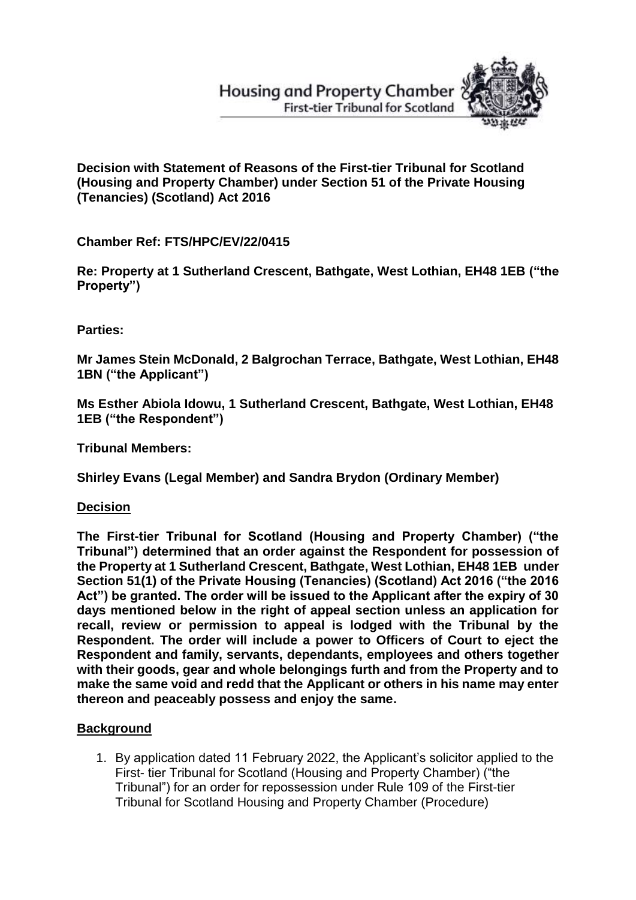# **Housing and Property Chamber First-tier Tribunal for Scotland**



**Decision with Statement of Reasons of the First-tier Tribunal for Scotland (Housing and Property Chamber) under Section 51 of the Private Housing (Tenancies) (Scotland) Act 2016**

**Chamber Ref: FTS/HPC/EV/22/0415**

**Re: Property at 1 Sutherland Crescent, Bathgate, West Lothian, EH48 1EB ("the Property")**

**Parties:**

**Mr James Stein McDonald, 2 Balgrochan Terrace, Bathgate, West Lothian, EH48 1BN ("the Applicant")**

**Ms Esther Abiola Idowu, 1 Sutherland Crescent, Bathgate, West Lothian, EH48 1EB ("the Respondent")** 

**Tribunal Members:**

**Shirley Evans (Legal Member) and Sandra Brydon (Ordinary Member)**

**Decision**

**The First-tier Tribunal for Scotland (Housing and Property Chamber) ("the Tribunal") determined that an order against the Respondent for possession of the Property at 1 Sutherland Crescent, Bathgate, West Lothian, EH48 1EB under Section 51(1) of the Private Housing (Tenancies) (Scotland) Act 2016 ("the 2016 Act") be granted. The order will be issued to the Applicant after the expiry of 30 days mentioned below in the right of appeal section unless an application for recall, review or permission to appeal is lodged with the Tribunal by the Respondent. The order will include a power to Officers of Court to eject the Respondent and family, servants, dependants, employees and others together with their goods, gear and whole belongings furth and from the Property and to make the same void and redd that the Applicant or others in his name may enter thereon and peaceably possess and enjoy the same.**

## **Background**

1. By application dated 11 February 2022, the Applicant's solicitor applied to the First- tier Tribunal for Scotland (Housing and Property Chamber) ("the Tribunal") for an order for repossession under Rule 109 of the First-tier Tribunal for Scotland Housing and Property Chamber (Procedure)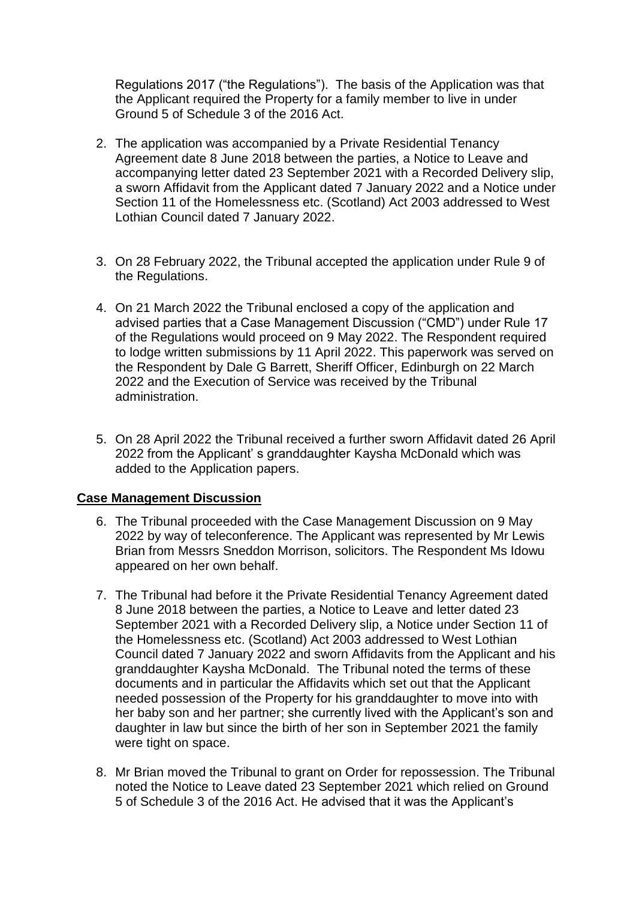Regulations 2017 ("the Regulations"). The basis of the Application was that the Applicant required the Property for a family member to live in under Ground 5 of Schedule 3 of the 2016 Act.

- 2. The application was accompanied by a Private Residential Tenancy Agreement date 8 June 2018 between the parties, a Notice to Leave and accompanying letter dated 23 September 2021 with a Recorded Delivery slip, a sworn Affidavit from the Applicant dated 7 January 2022 and a Notice under Section 11 of the Homelessness etc. (Scotland) Act 2003 addressed to West Lothian Council dated 7 January 2022.
- 3. On 28 February 2022, the Tribunal accepted the application under Rule 9 of the Regulations.
- 4. On 21 March 2022 the Tribunal enclosed a copy of the application and advised parties that a Case Management Discussion ("CMD") under Rule 17 of the Regulations would proceed on 9 May 2022. The Respondent required to lodge written submissions by 11 April 2022. This paperwork was served on the Respondent by Dale G Barrett, Sheriff Officer, Edinburgh on 22 March 2022 and the Execution of Service was received by the Tribunal administration.
- 5. On 28 April 2022 the Tribunal received a further sworn Affidavit dated 26 April 2022 from the Applicant' s granddaughter Kaysha McDonald which was added to the Application papers.

### **Case Management Discussion**

- 6. The Tribunal proceeded with the Case Management Discussion on 9 May 2022 by way of teleconference. The Applicant was represented by Mr Lewis Brian from Messrs Sneddon Morrison, solicitors. The Respondent Ms Idowu appeared on her own behalf.
- 7. The Tribunal had before it the Private Residential Tenancy Agreement dated 8 June 2018 between the parties, a Notice to Leave and letter dated 23 September 2021 with a Recorded Delivery slip, a Notice under Section 11 of the Homelessness etc. (Scotland) Act 2003 addressed to West Lothian Council dated 7 January 2022 and sworn Affidavits from the Applicant and his granddaughter Kaysha McDonald. The Tribunal noted the terms of these documents and in particular the Affidavits which set out that the Applicant needed possession of the Property for his granddaughter to move into with her baby son and her partner; she currently lived with the Applicant's son and daughter in law but since the birth of her son in September 2021 the family were tight on space.
- 8. Mr Brian moved the Tribunal to grant on Order for repossession. The Tribunal noted the Notice to Leave dated 23 September 2021 which relied on Ground 5 of Schedule 3 of the 2016 Act. He advised that it was the Applicant's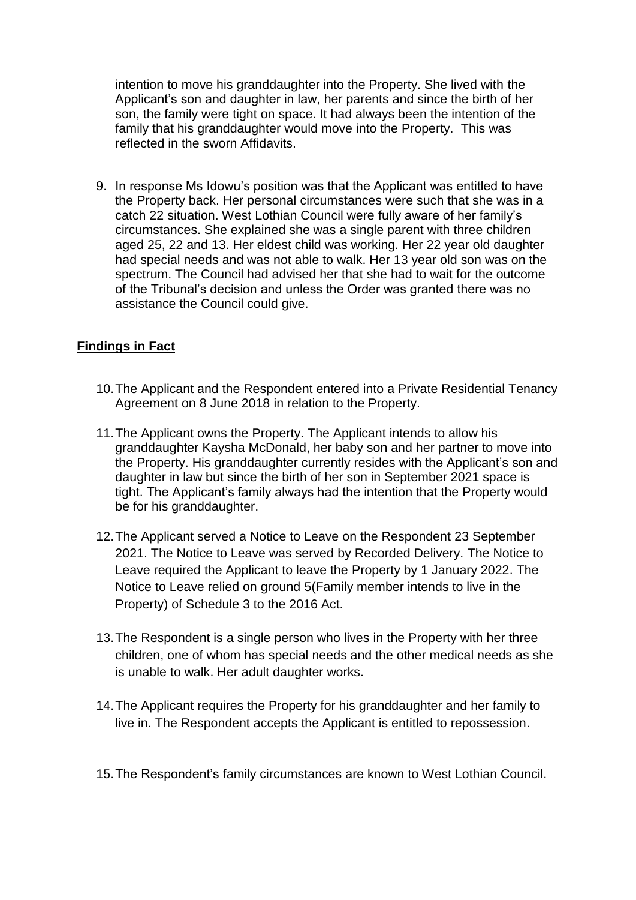intention to move his granddaughter into the Property. She lived with the Applicant's son and daughter in law, her parents and since the birth of her son, the family were tight on space. It had always been the intention of the family that his granddaughter would move into the Property. This was reflected in the sworn Affidavits.

9. In response Ms Idowu's position was that the Applicant was entitled to have the Property back. Her personal circumstances were such that she was in a catch 22 situation. West Lothian Council were fully aware of her family's circumstances. She explained she was a single parent with three children aged 25, 22 and 13. Her eldest child was working. Her 22 year old daughter had special needs and was not able to walk. Her 13 year old son was on the spectrum. The Council had advised her that she had to wait for the outcome of the Tribunal's decision and unless the Order was granted there was no assistance the Council could give.

## **Findings in Fact**

- 10.The Applicant and the Respondent entered into a Private Residential Tenancy Agreement on 8 June 2018 in relation to the Property.
- 11.The Applicant owns the Property. The Applicant intends to allow his granddaughter Kaysha McDonald, her baby son and her partner to move into the Property. His granddaughter currently resides with the Applicant's son and daughter in law but since the birth of her son in September 2021 space is tight. The Applicant's family always had the intention that the Property would be for his granddaughter.
- 12.The Applicant served a Notice to Leave on the Respondent 23 September 2021. The Notice to Leave was served by Recorded Delivery. The Notice to Leave required the Applicant to leave the Property by 1 January 2022. The Notice to Leave relied on ground 5(Family member intends to live in the Property) of Schedule 3 to the 2016 Act.
- 13.The Respondent is a single person who lives in the Property with her three children, one of whom has special needs and the other medical needs as she is unable to walk. Her adult daughter works.
- 14.The Applicant requires the Property for his granddaughter and her family to live in. The Respondent accepts the Applicant is entitled to repossession.
- 15.The Respondent's family circumstances are known to West Lothian Council.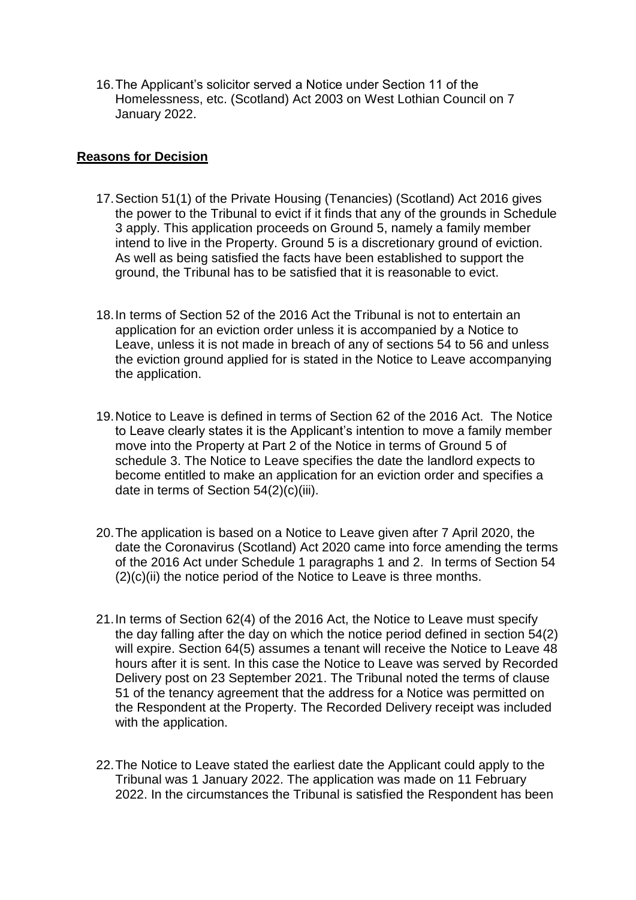16.The Applicant's solicitor served a Notice under Section 11 of the Homelessness, etc. (Scotland) Act 2003 on West Lothian Council on 7 January 2022.

## **Reasons for Decision**

- 17.Section 51(1) of the Private Housing (Tenancies) (Scotland) Act 2016 gives the power to the Tribunal to evict if it finds that any of the grounds in Schedule 3 apply. This application proceeds on Ground 5, namely a family member intend to live in the Property. Ground 5 is a discretionary ground of eviction. As well as being satisfied the facts have been established to support the ground, the Tribunal has to be satisfied that it is reasonable to evict.
- 18.In terms of Section 52 of the 2016 Act the Tribunal is not to entertain an application for an eviction order unless it is accompanied by a Notice to Leave, unless it is not made in breach of any of sections 54 to 56 and unless the eviction ground applied for is stated in the Notice to Leave accompanying the application.
- 19.Notice to Leave is defined in terms of Section 62 of the 2016 Act. The Notice to Leave clearly states it is the Applicant's intention to move a family member move into the Property at Part 2 of the Notice in terms of Ground 5 of schedule 3. The Notice to Leave specifies the date the landlord expects to become entitled to make an application for an eviction order and specifies a date in terms of Section 54(2)(c)(iii).
- 20.The application is based on a Notice to Leave given after 7 April 2020, the date the Coronavirus (Scotland) Act 2020 came into force amending the terms of the 2016 Act under Schedule 1 paragraphs 1 and 2. In terms of Section 54  $(2)(c)(ii)$  the notice period of the Notice to Leave is three months.
- 21.In terms of Section 62(4) of the 2016 Act, the Notice to Leave must specify the day falling after the day on which the notice period defined in section 54(2) will expire. Section 64(5) assumes a tenant will receive the Notice to Leave 48 hours after it is sent. In this case the Notice to Leave was served by Recorded Delivery post on 23 September 2021. The Tribunal noted the terms of clause 51 of the tenancy agreement that the address for a Notice was permitted on the Respondent at the Property. The Recorded Delivery receipt was included with the application.
- 22.The Notice to Leave stated the earliest date the Applicant could apply to the Tribunal was 1 January 2022. The application was made on 11 February 2022. In the circumstances the Tribunal is satisfied the Respondent has been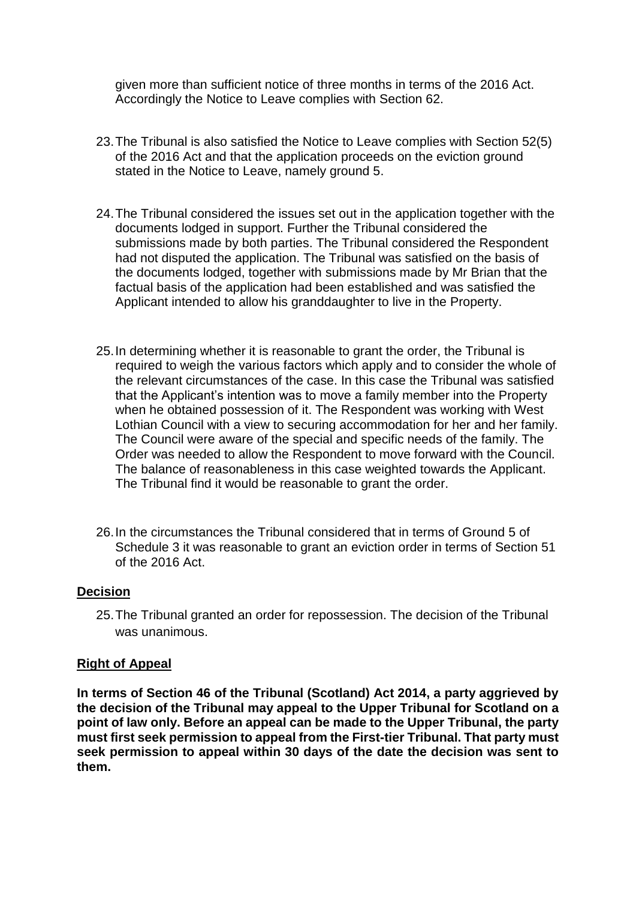given more than sufficient notice of three months in terms of the 2016 Act. Accordingly the Notice to Leave complies with Section 62.

- 23.The Tribunal is also satisfied the Notice to Leave complies with Section 52(5) of the 2016 Act and that the application proceeds on the eviction ground stated in the Notice to Leave, namely ground 5.
- 24.The Tribunal considered the issues set out in the application together with the documents lodged in support. Further the Tribunal considered the submissions made by both parties. The Tribunal considered the Respondent had not disputed the application. The Tribunal was satisfied on the basis of the documents lodged, together with submissions made by Mr Brian that the factual basis of the application had been established and was satisfied the Applicant intended to allow his granddaughter to live in the Property.
- 25.In determining whether it is reasonable to grant the order, the Tribunal is required to weigh the various factors which apply and to consider the whole of the relevant circumstances of the case. In this case the Tribunal was satisfied that the Applicant's intention was to move a family member into the Property when he obtained possession of it. The Respondent was working with West Lothian Council with a view to securing accommodation for her and her family. The Council were aware of the special and specific needs of the family. The Order was needed to allow the Respondent to move forward with the Council. The balance of reasonableness in this case weighted towards the Applicant. The Tribunal find it would be reasonable to grant the order.
- 26.In the circumstances the Tribunal considered that in terms of Ground 5 of Schedule 3 it was reasonable to grant an eviction order in terms of Section 51 of the 2016 Act.

### **Decision**

25.The Tribunal granted an order for repossession. The decision of the Tribunal was unanimous.

#### **Right of Appeal**

**In terms of Section 46 of the Tribunal (Scotland) Act 2014, a party aggrieved by the decision of the Tribunal may appeal to the Upper Tribunal for Scotland on a point of law only. Before an appeal can be made to the Upper Tribunal, the party must first seek permission to appeal from the First-tier Tribunal. That party must seek permission to appeal within 30 days of the date the decision was sent to them.**